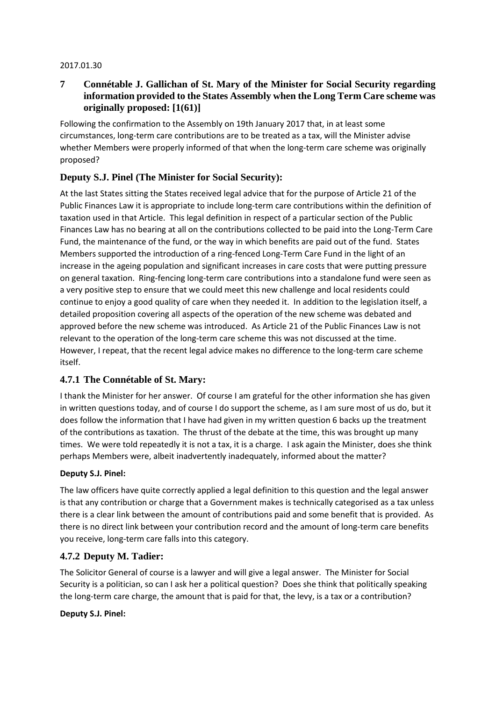### 2017.01.30

# **7 Connétable J. Gallichan of St. Mary of the Minister for Social Security regarding information provided to the States Assembly when the Long Term Care scheme was originally proposed: [1(61)]**

Following the confirmation to the Assembly on 19th January 2017 that, in at least some circumstances, long-term care contributions are to be treated as a tax, will the Minister advise whether Members were properly informed of that when the long-term care scheme was originally proposed?

# **Deputy S.J. Pinel (The Minister for Social Security):**

At the last States sitting the States received legal advice that for the purpose of Article 21 of the Public Finances Law it is appropriate to include long-term care contributions within the definition of taxation used in that Article. This legal definition in respect of a particular section of the Public Finances Law has no bearing at all on the contributions collected to be paid into the Long-Term Care Fund, the maintenance of the fund, or the way in which benefits are paid out of the fund. States Members supported the introduction of a ring-fenced Long-Term Care Fund in the light of an increase in the ageing population and significant increases in care costs that were putting pressure on general taxation. Ring-fencing long-term care contributions into a standalone fund were seen as a very positive step to ensure that we could meet this new challenge and local residents could continue to enjoy a good quality of care when they needed it. In addition to the legislation itself, a detailed proposition covering all aspects of the operation of the new scheme was debated and approved before the new scheme was introduced. As Article 21 of the Public Finances Law is not relevant to the operation of the long-term care scheme this was not discussed at the time. However, I repeat, that the recent legal advice makes no difference to the long-term care scheme itself.

# **4.7.1 The Connétable of St. Mary:**

I thank the Minister for her answer. Of course I am grateful for the other information she has given in written questions today, and of course I do support the scheme, as I am sure most of us do, but it does follow the information that I have had given in my written question 6 backs up the treatment of the contributions as taxation. The thrust of the debate at the time, this was brought up many times. We were told repeatedly it is not a tax, it is a charge. I ask again the Minister, does she think perhaps Members were, albeit inadvertently inadequately, informed about the matter?

### **Deputy S.J. Pinel:**

The law officers have quite correctly applied a legal definition to this question and the legal answer is that any contribution or charge that a Government makes is technically categorised as a tax unless there is a clear link between the amount of contributions paid and some benefit that is provided. As there is no direct link between your contribution record and the amount of long-term care benefits you receive, long-term care falls into this category.

# **4.7.2 Deputy M. Tadier:**

The Solicitor General of course is a lawyer and will give a legal answer. The Minister for Social Security is a politician, so can I ask her a political question? Does she think that politically speaking the long-term care charge, the amount that is paid for that, the levy, is a tax or a contribution?

### **Deputy S.J. Pinel:**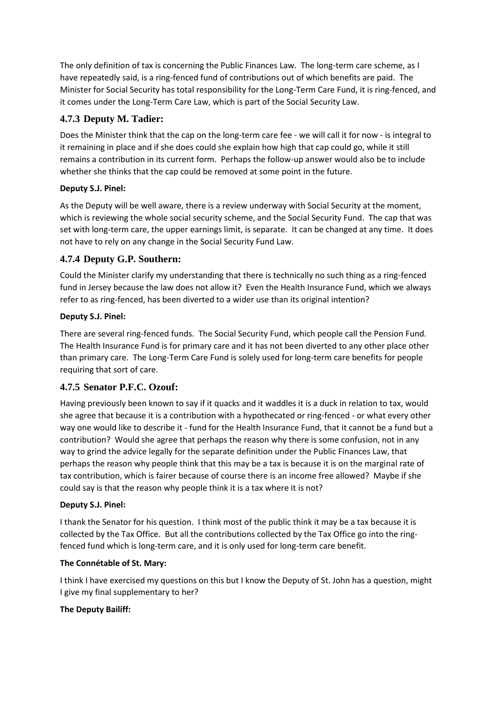The only definition of tax is concerning the Public Finances Law. The long-term care scheme, as I have repeatedly said, is a ring-fenced fund of contributions out of which benefits are paid. The Minister for Social Security has total responsibility for the Long-Term Care Fund, it is ring-fenced, and it comes under the Long-Term Care Law, which is part of the Social Security Law.

# **4.7.3 Deputy M. Tadier:**

Does the Minister think that the cap on the long-term care fee - we will call it for now - is integral to it remaining in place and if she does could she explain how high that cap could go, while it still remains a contribution in its current form. Perhaps the follow-up answer would also be to include whether she thinks that the cap could be removed at some point in the future.

## **Deputy S.J. Pinel:**

As the Deputy will be well aware, there is a review underway with Social Security at the moment, which is reviewing the whole social security scheme, and the Social Security Fund. The cap that was set with long-term care, the upper earnings limit, is separate. It can be changed at any time. It does not have to rely on any change in the Social Security Fund Law.

# **4.7.4 Deputy G.P. Southern:**

Could the Minister clarify my understanding that there is technically no such thing as a ring-fenced fund in Jersey because the law does not allow it? Even the Health Insurance Fund, which we always refer to as ring-fenced, has been diverted to a wider use than its original intention?

## **Deputy S.J. Pinel:**

There are several ring-fenced funds. The Social Security Fund, which people call the Pension Fund. The Health Insurance Fund is for primary care and it has not been diverted to any other place other than primary care. The Long-Term Care Fund is solely used for long-term care benefits for people requiring that sort of care.

# **4.7.5 Senator P.F.C. Ozouf:**

Having previously been known to say if it quacks and it waddles it is a duck in relation to tax, would she agree that because it is a contribution with a hypothecated or ring-fenced - or what every other way one would like to describe it - fund for the Health Insurance Fund, that it cannot be a fund but a contribution? Would she agree that perhaps the reason why there is some confusion, not in any way to grind the advice legally for the separate definition under the Public Finances Law, that perhaps the reason why people think that this may be a tax is because it is on the marginal rate of tax contribution, which is fairer because of course there is an income free allowed? Maybe if she could say is that the reason why people think it is a tax where it is not?

### **Deputy S.J. Pinel:**

I thank the Senator for his question. I think most of the public think it may be a tax because it is collected by the Tax Office. But all the contributions collected by the Tax Office go into the ringfenced fund which is long-term care, and it is only used for long-term care benefit.

### **The Connétable of St. Mary:**

I think I have exercised my questions on this but I know the Deputy of St. John has a question, might I give my final supplementary to her?

### **The Deputy Bailiff:**